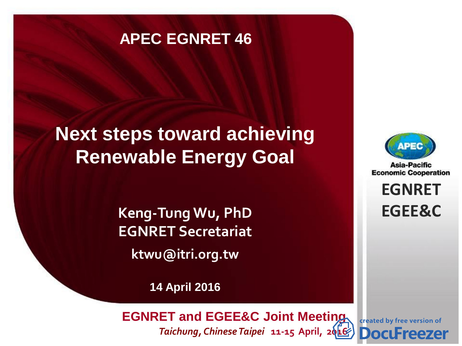#### **APEC EGNRET 46**

# **Next steps toward achieving Renewable Energy Goal**

**Keng-Tung Wu, PhD EGNRET Secretariat ktwu@itri.org.tw**

**14 April 2016**

**EWG 40** *Brunei Darussalam* **22-26 November, 2010**  *Taichung, Chinese Taipei* **11-15 April, 2[016](http://www.docufreezer.com/?df-dlabel) EGNRET and EGEE&C Joint Meeting**



Asia-Pacific **Economic Cooperation** 

> **EGNRET EGNRET EGEE&C**

created by free version of **Docu** reezer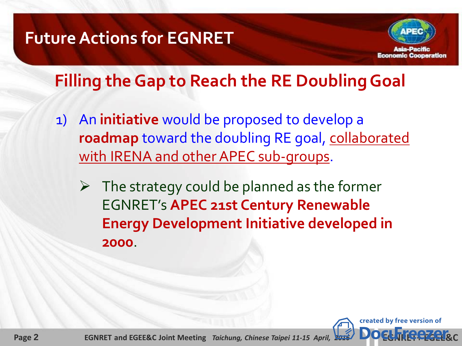### **Future Actions for EGNRET**



### **Filling the Gap to Reach the RE Doubling Goal**

- 1) An **initiative** would be proposed to develop a **roadmap** toward the doubling RE goal, collaborated with IRENA and other APEC sub-groups.
	- $\triangleright$  The strategy could be planned as the former EGNRET's **APEC 21st Century Renewable Energy Development Initiative developed in 2000**.

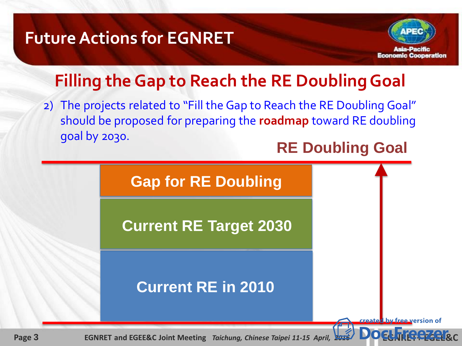### **Future Actions for EGNRET**



## **Filling the Gap to Reach the RE Doubling Goal**

2) The projects related to "Fill the Gap to Reach the RE Doubling Goal" should be proposed for preparing the **roadmap** toward RE doubling goal by 2030.

#### **RE Doubling Goal**

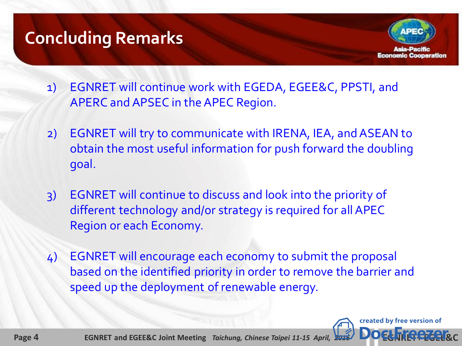## **Concluding Remarks**



- 1) EGNRET will continue work with EGEDA, EGEE&C, PPSTI, and APERC and APSEC in the APEC Region.
- 2) EGNRET will try to communicate with IRENA, IEA, and ASEAN to obtain the most useful information for push forward the doubling goal.
- 3) EGNRET will continue to discuss and look into the priority of different technology and/or strategy is required for all APEC Region or each Economy.
- 4) EGNRET will encourage each economy to submit the proposal based on the identified priority in order to remove the barrier and speed up the deployment of renewable energy.



 **Page 4 EGNRET and EGEE&C Joint Meeting** *Taichung, Chinese Taipei 11-15 April,* **2016**